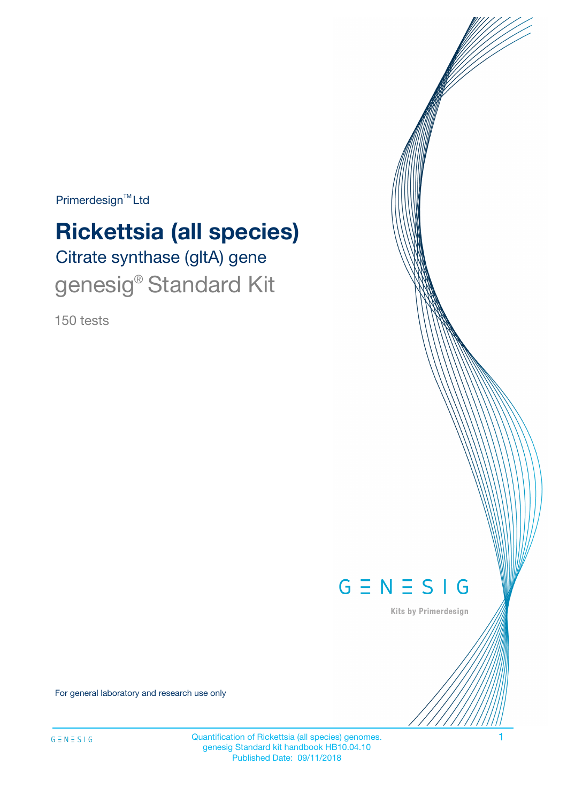Primerdesign<sup>™</sup>Ltd

# Citrate synthase (gltA) gene **Rickettsia (all species)**

genesig® Standard Kit

150 tests



Kits by Primerdesign

For general laboratory and research use only

Quantification of Rickettsia (all species) genomes. 1 genesig Standard kit handbook HB10.04.10 Published Date: 09/11/2018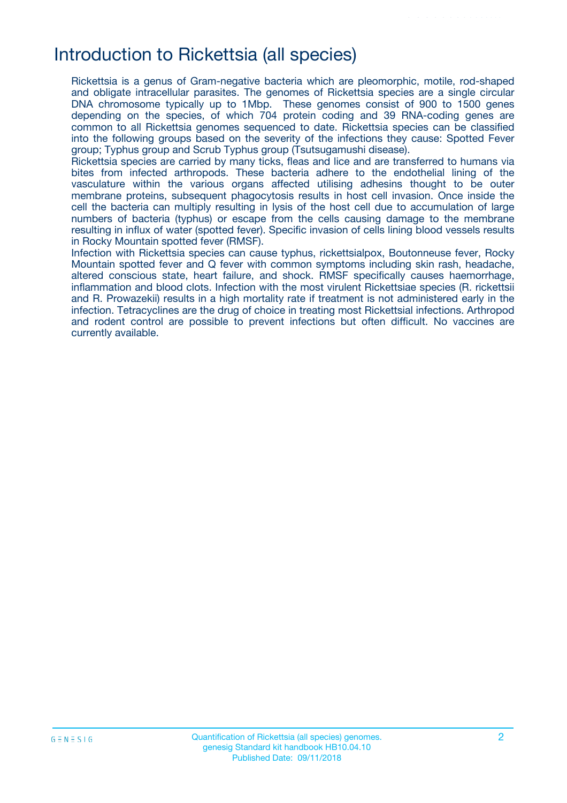# Introduction to Rickettsia (all species)

Rickettsia is a genus of Gram-negative bacteria which are pleomorphic, motile, rod-shaped and obligate intracellular parasites. The genomes of Rickettsia species are a single circular DNA chromosome typically up to 1Mbp. These genomes consist of 900 to 1500 genes depending on the species, of which 704 protein coding and 39 RNA-coding genes are common to all Rickettsia genomes sequenced to date. Rickettsia species can be classified into the following groups based on the severity of the infections they cause: Spotted Fever group; Typhus group and Scrub Typhus group (Tsutsugamushi disease).

Rickettsia species are carried by many ticks, fleas and lice and are transferred to humans via bites from infected arthropods. These bacteria adhere to the endothelial lining of the vasculature within the various organs affected utilising adhesins thought to be outer membrane proteins, subsequent phagocytosis results in host cell invasion. Once inside the cell the bacteria can multiply resulting in lysis of the host cell due to accumulation of large numbers of bacteria (typhus) or escape from the cells causing damage to the membrane resulting in influx of water (spotted fever). Specific invasion of cells lining blood vessels results in Rocky Mountain spotted fever (RMSF).

Infection with Rickettsia species can cause typhus, rickettsialpox, Boutonneuse fever, Rocky Mountain spotted fever and Q fever with common symptoms including skin rash, headache, altered conscious state, heart failure, and shock. RMSF specifically causes haemorrhage, inflammation and blood clots. Infection with the most virulent Rickettsiae species (R. rickettsii and R. Prowazekii) results in a high mortality rate if treatment is not administered early in the infection. Tetracyclines are the drug of choice in treating most Rickettsial infections. Arthropod and rodent control are possible to prevent infections but often difficult. No vaccines are currently available.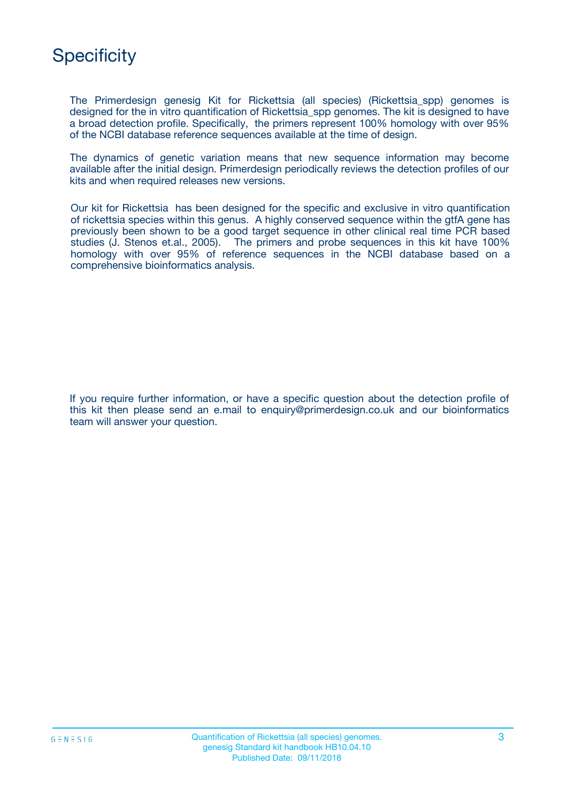

The Primerdesign genesig Kit for Rickettsia (all species) (Rickettsia\_spp) genomes is designed for the in vitro quantification of Rickettsia spp genomes. The kit is designed to have a broad detection profile. Specifically, the primers represent 100% homology with over 95% of the NCBI database reference sequences available at the time of design.

The dynamics of genetic variation means that new sequence information may become available after the initial design. Primerdesign periodically reviews the detection profiles of our kits and when required releases new versions.

Our kit for Rickettsia has been designed for the specific and exclusive in vitro quantification of rickettsia species within this genus. A highly conserved sequence within the gtfA gene has previously been shown to be a good target sequence in other clinical real time PCR based studies (J. Stenos et.al., 2005). The primers and probe sequences in this kit have 100% homology with over 95% of reference sequences in the NCBI database based on a comprehensive bioinformatics analysis.

If you require further information, or have a specific question about the detection profile of this kit then please send an e.mail to enquiry@primerdesign.co.uk and our bioinformatics team will answer your question.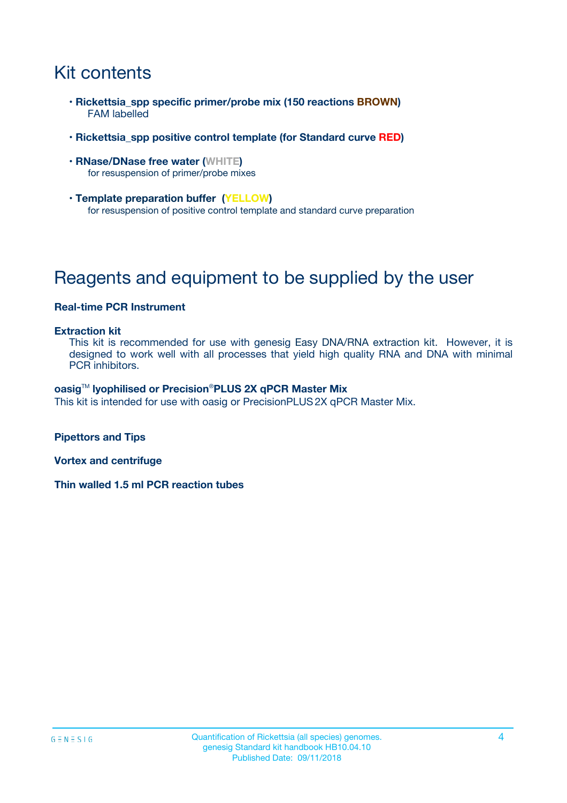# Kit contents

- **Rickettsia\_spp specific primer/probe mix (150 reactions BROWN)** FAM labelled
- **Rickettsia\_spp positive control template (for Standard curve RED)**
- **RNase/DNase free water (WHITE)** for resuspension of primer/probe mixes
- **Template preparation buffer (YELLOW)** for resuspension of positive control template and standard curve preparation

# Reagents and equipment to be supplied by the user

#### **Real-time PCR Instrument**

#### **Extraction kit**

This kit is recommended for use with genesig Easy DNA/RNA extraction kit. However, it is designed to work well with all processes that yield high quality RNA and DNA with minimal PCR inhibitors.

#### **oasig**TM **lyophilised or Precision**®**PLUS 2X qPCR Master Mix**

This kit is intended for use with oasig or PrecisionPLUS2X qPCR Master Mix.

**Pipettors and Tips**

**Vortex and centrifuge**

**Thin walled 1.5 ml PCR reaction tubes**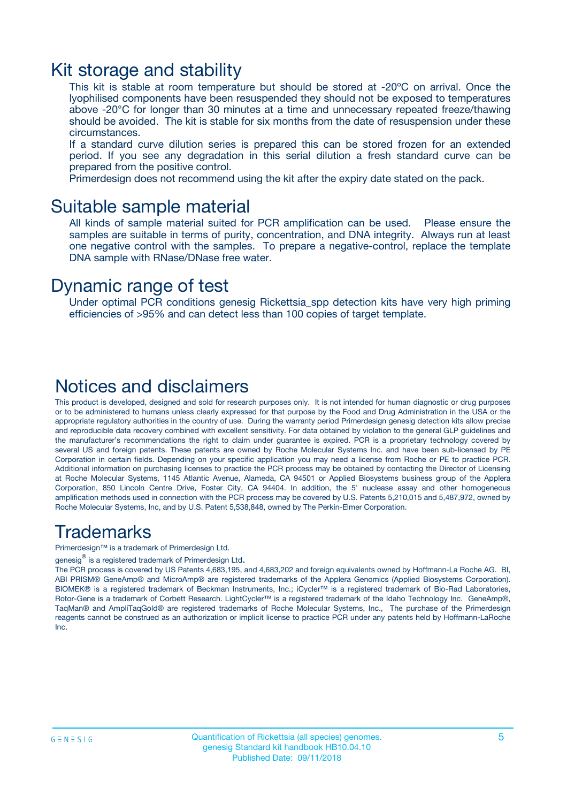### Kit storage and stability

This kit is stable at room temperature but should be stored at -20ºC on arrival. Once the lyophilised components have been resuspended they should not be exposed to temperatures above -20°C for longer than 30 minutes at a time and unnecessary repeated freeze/thawing should be avoided. The kit is stable for six months from the date of resuspension under these circumstances.

If a standard curve dilution series is prepared this can be stored frozen for an extended period. If you see any degradation in this serial dilution a fresh standard curve can be prepared from the positive control.

Primerdesign does not recommend using the kit after the expiry date stated on the pack.

### Suitable sample material

All kinds of sample material suited for PCR amplification can be used. Please ensure the samples are suitable in terms of purity, concentration, and DNA integrity. Always run at least one negative control with the samples. To prepare a negative-control, replace the template DNA sample with RNase/DNase free water.

### Dynamic range of test

Under optimal PCR conditions genesig Rickettsia\_spp detection kits have very high priming efficiencies of >95% and can detect less than 100 copies of target template.

### Notices and disclaimers

This product is developed, designed and sold for research purposes only. It is not intended for human diagnostic or drug purposes or to be administered to humans unless clearly expressed for that purpose by the Food and Drug Administration in the USA or the appropriate regulatory authorities in the country of use. During the warranty period Primerdesign genesig detection kits allow precise and reproducible data recovery combined with excellent sensitivity. For data obtained by violation to the general GLP guidelines and the manufacturer's recommendations the right to claim under guarantee is expired. PCR is a proprietary technology covered by several US and foreign patents. These patents are owned by Roche Molecular Systems Inc. and have been sub-licensed by PE Corporation in certain fields. Depending on your specific application you may need a license from Roche or PE to practice PCR. Additional information on purchasing licenses to practice the PCR process may be obtained by contacting the Director of Licensing at Roche Molecular Systems, 1145 Atlantic Avenue, Alameda, CA 94501 or Applied Biosystems business group of the Applera Corporation, 850 Lincoln Centre Drive, Foster City, CA 94404. In addition, the 5' nuclease assay and other homogeneous amplification methods used in connection with the PCR process may be covered by U.S. Patents 5,210,015 and 5,487,972, owned by Roche Molecular Systems, Inc, and by U.S. Patent 5,538,848, owned by The Perkin-Elmer Corporation.

### Trademarks

Primerdesign™ is a trademark of Primerdesign Ltd.

genesig $^\circledR$  is a registered trademark of Primerdesign Ltd.

The PCR process is covered by US Patents 4,683,195, and 4,683,202 and foreign equivalents owned by Hoffmann-La Roche AG. BI, ABI PRISM® GeneAmp® and MicroAmp® are registered trademarks of the Applera Genomics (Applied Biosystems Corporation). BIOMEK® is a registered trademark of Beckman Instruments, Inc.; iCycler™ is a registered trademark of Bio-Rad Laboratories, Rotor-Gene is a trademark of Corbett Research. LightCycler™ is a registered trademark of the Idaho Technology Inc. GeneAmp®, TaqMan® and AmpliTaqGold® are registered trademarks of Roche Molecular Systems, Inc., The purchase of the Primerdesign reagents cannot be construed as an authorization or implicit license to practice PCR under any patents held by Hoffmann-LaRoche Inc.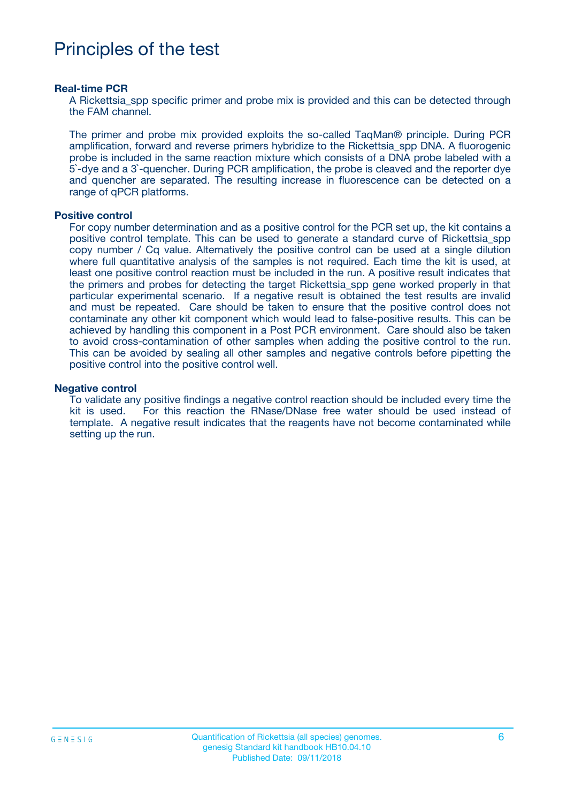# Principles of the test

#### **Real-time PCR**

A Rickettsia, spp specific primer and probe mix is provided and this can be detected through the FAM channel.

The primer and probe mix provided exploits the so-called TaqMan® principle. During PCR amplification, forward and reverse primers hybridize to the Rickettsia\_spp DNA. A fluorogenic probe is included in the same reaction mixture which consists of a DNA probe labeled with a 5`-dye and a 3`-quencher. During PCR amplification, the probe is cleaved and the reporter dye and quencher are separated. The resulting increase in fluorescence can be detected on a range of qPCR platforms.

#### **Positive control**

For copy number determination and as a positive control for the PCR set up, the kit contains a positive control template. This can be used to generate a standard curve of Rickettsia\_spp copy number / Cq value. Alternatively the positive control can be used at a single dilution where full quantitative analysis of the samples is not required. Each time the kit is used, at least one positive control reaction must be included in the run. A positive result indicates that the primers and probes for detecting the target Rickettsia\_spp gene worked properly in that particular experimental scenario. If a negative result is obtained the test results are invalid and must be repeated. Care should be taken to ensure that the positive control does not contaminate any other kit component which would lead to false-positive results. This can be achieved by handling this component in a Post PCR environment. Care should also be taken to avoid cross-contamination of other samples when adding the positive control to the run. This can be avoided by sealing all other samples and negative controls before pipetting the positive control into the positive control well.

#### **Negative control**

To validate any positive findings a negative control reaction should be included every time the kit is used. For this reaction the RNase/DNase free water should be used instead of template. A negative result indicates that the reagents have not become contaminated while setting up the run.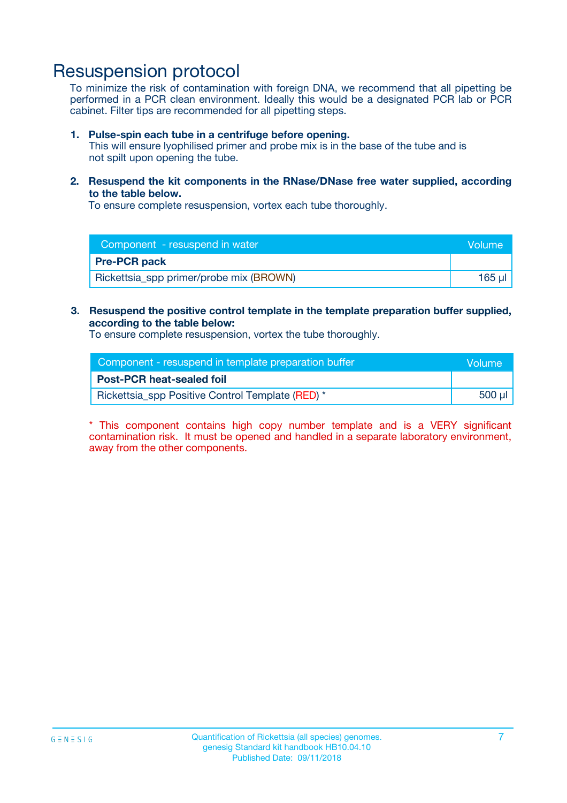## Resuspension protocol

To minimize the risk of contamination with foreign DNA, we recommend that all pipetting be performed in a PCR clean environment. Ideally this would be a designated PCR lab or PCR cabinet. Filter tips are recommended for all pipetting steps.

#### **1. Pulse-spin each tube in a centrifuge before opening.**

This will ensure lyophilised primer and probe mix is in the base of the tube and is not spilt upon opening the tube.

**2. Resuspend the kit components in the RNase/DNase free water supplied, according to the table below.**

To ensure complete resuspension, vortex each tube thoroughly.

| Component - resuspend in water          | Volume |
|-----------------------------------------|--------|
| <b>Pre-PCR pack</b>                     |        |
| Rickettsia_spp primer/probe mix (BROWN) | 165 ul |

### **3. Resuspend the positive control template in the template preparation buffer supplied, according to the table below:**

To ensure complete resuspension, vortex the tube thoroughly.

| Component - resuspend in template preparation buffer | lVolume' |
|------------------------------------------------------|----------|
| <b>Post-PCR heat-sealed foil</b>                     |          |
| Rickettsia_spp Positive Control Template (RED) *     | 500 µl   |

\* This component contains high copy number template and is a VERY significant contamination risk. It must be opened and handled in a separate laboratory environment, away from the other components.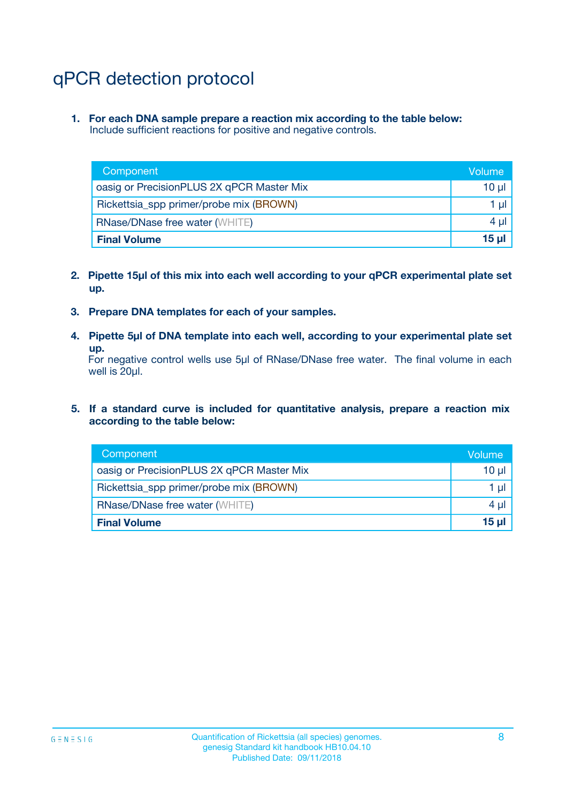# qPCR detection protocol

**1. For each DNA sample prepare a reaction mix according to the table below:** Include sufficient reactions for positive and negative controls.

| Component                                 | Volume   |
|-------------------------------------------|----------|
| oasig or PrecisionPLUS 2X qPCR Master Mix | 10 $\mu$ |
| Rickettsia_spp primer/probe mix (BROWN)   | 1 $\mu$  |
| <b>RNase/DNase free water (WHITE)</b>     | $4 \mu$  |
| <b>Final Volume</b>                       | 15 ul    |

- **2. Pipette 15µl of this mix into each well according to your qPCR experimental plate set up.**
- **3. Prepare DNA templates for each of your samples.**
- **4. Pipette 5µl of DNA template into each well, according to your experimental plate set up.**

For negative control wells use 5µl of RNase/DNase free water. The final volume in each well is 20µl.

**5. If a standard curve is included for quantitative analysis, prepare a reaction mix according to the table below:**

| Component                                 | Volume   |
|-------------------------------------------|----------|
| oasig or PrecisionPLUS 2X qPCR Master Mix | 10 µl    |
| Rickettsia_spp primer/probe mix (BROWN)   | 1 µI     |
| <b>RNase/DNase free water (WHITE)</b>     | $4 \mu$  |
| <b>Final Volume</b>                       | $15 \mu$ |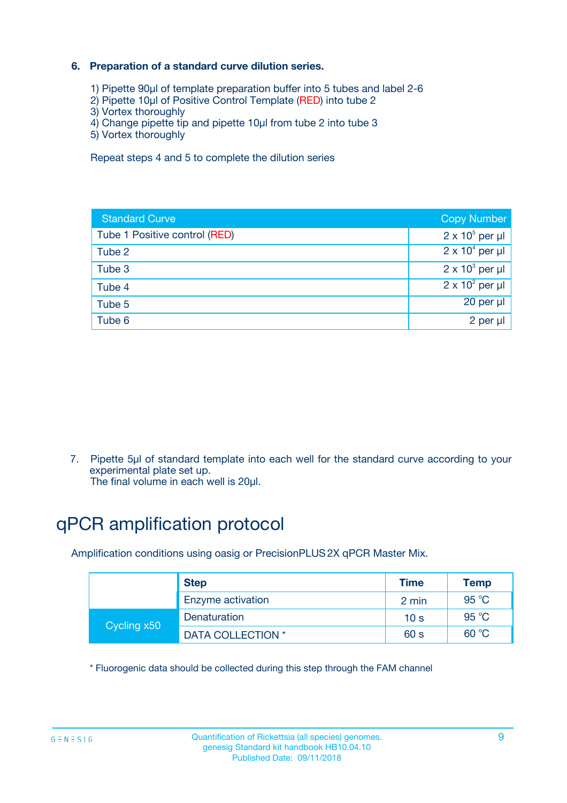### **6. Preparation of a standard curve dilution series.**

- 1) Pipette 90µl of template preparation buffer into 5 tubes and label 2-6
- 2) Pipette 10µl of Positive Control Template (RED) into tube 2
- 3) Vortex thoroughly
- 4) Change pipette tip and pipette 10µl from tube 2 into tube 3
- 5) Vortex thoroughly

Repeat steps 4 and 5 to complete the dilution series

| <b>Standard Curve</b>         | <b>Copy Number</b>     |
|-------------------------------|------------------------|
| Tube 1 Positive control (RED) | $2 \times 10^5$ per µl |
| Tube 2                        | $2 \times 10^4$ per µl |
| Tube 3                        | $2 \times 10^3$ per µl |
| Tube 4                        | $2 \times 10^2$ per µl |
| Tube 5                        | 20 per µl              |
| Tube 6                        | 2 per ul               |

7. Pipette 5µl of standard template into each well for the standard curve according to your experimental plate set up.

The final volume in each well is 20µl.

# qPCR amplification protocol

Amplification conditions using oasig or PrecisionPLUS2X qPCR Master Mix.

|             | <b>Step</b>       | <b>Time</b>     | <b>Temp</b>    |
|-------------|-------------------|-----------------|----------------|
|             | Enzyme activation | 2 min           | $95^{\circ}$ C |
| Cycling x50 | Denaturation      | 10 <sub>s</sub> | 95 $°C$        |
|             | DATA COLLECTION * | 60 s            | 60 °C          |

\* Fluorogenic data should be collected during this step through the FAM channel